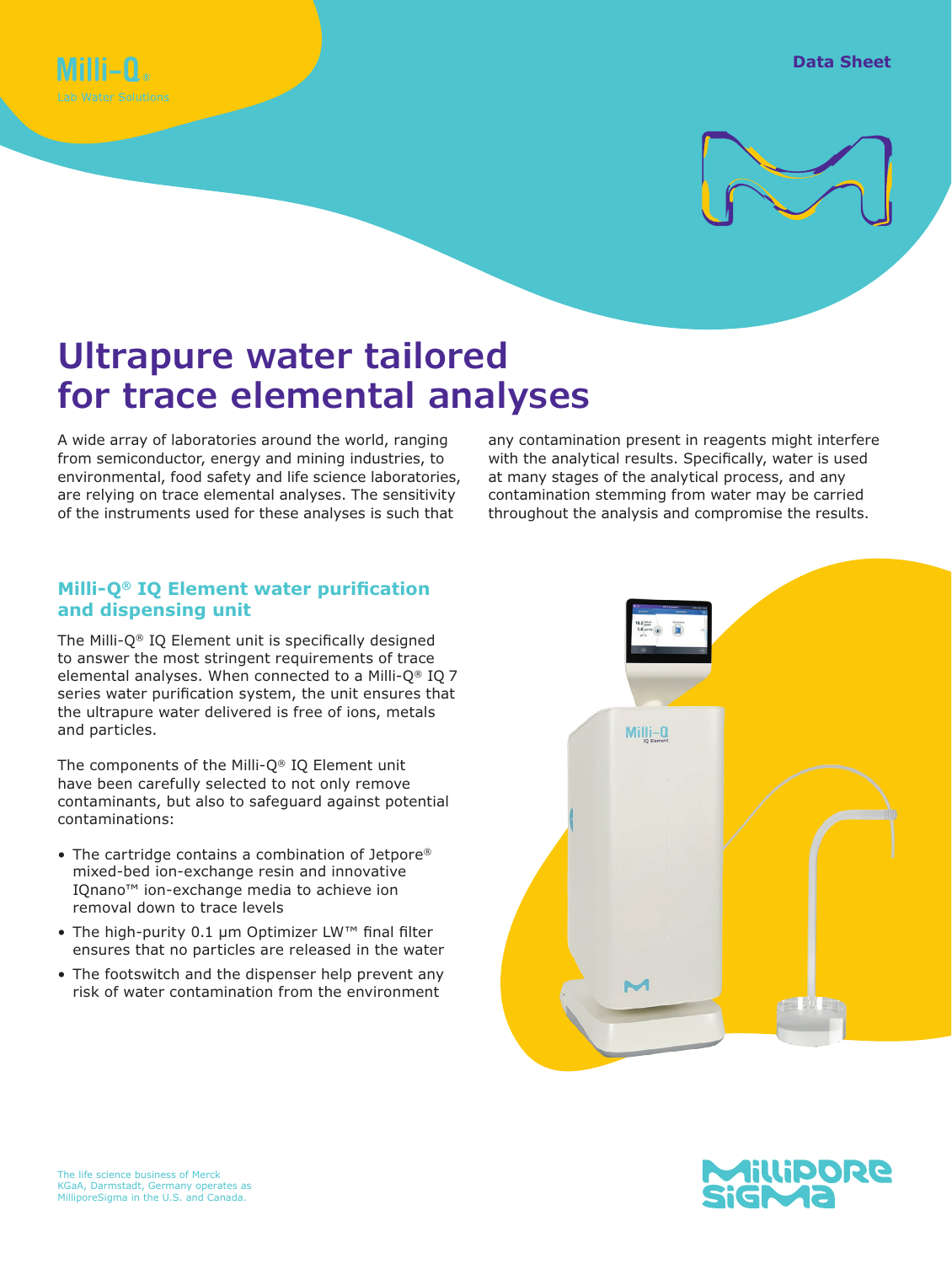



# **Ultrapure water tailored for trace elemental analyses**

A wide array of laboratories around the world, ranging from semiconductor, energy and mining industries, to environmental, food safety and life science laboratories, are relying on trace elemental analyses. The sensitivity of the instruments used for these analyses is such that

any contamination present in reagents might interfere with the analytical results. Specifically, water is used at many stages of the analytical process, and any contamination stemming from water may be carried throughout the analysis and compromise the results.

## **Milli-Q® IQ Element water purification and dispensing unit**

The Milli-Q® IQ Element unit is specifically designed to answer the most stringent requirements of trace elemental analyses. When connected to a Milli-Q® IQ 7 series water purification system, the unit ensures that the ultrapure water delivered is free of ions, metals and particles.

The components of the Milli-Q® IQ Element unit have been carefully selected to not only remove contaminants, but also to safeguard against potential contaminations:

- The cartridge contains a combination of Jetpore® mixed-bed ion-exchange resin and innovative IQnano™ ion-exchange media to achieve ion removal down to trace levels
- The high-purity 0.1 µm Optimizer LW™ final filter ensures that no particles are released in the water
- The footswitch and the dispenser help prevent any risk of water contamination from the environment



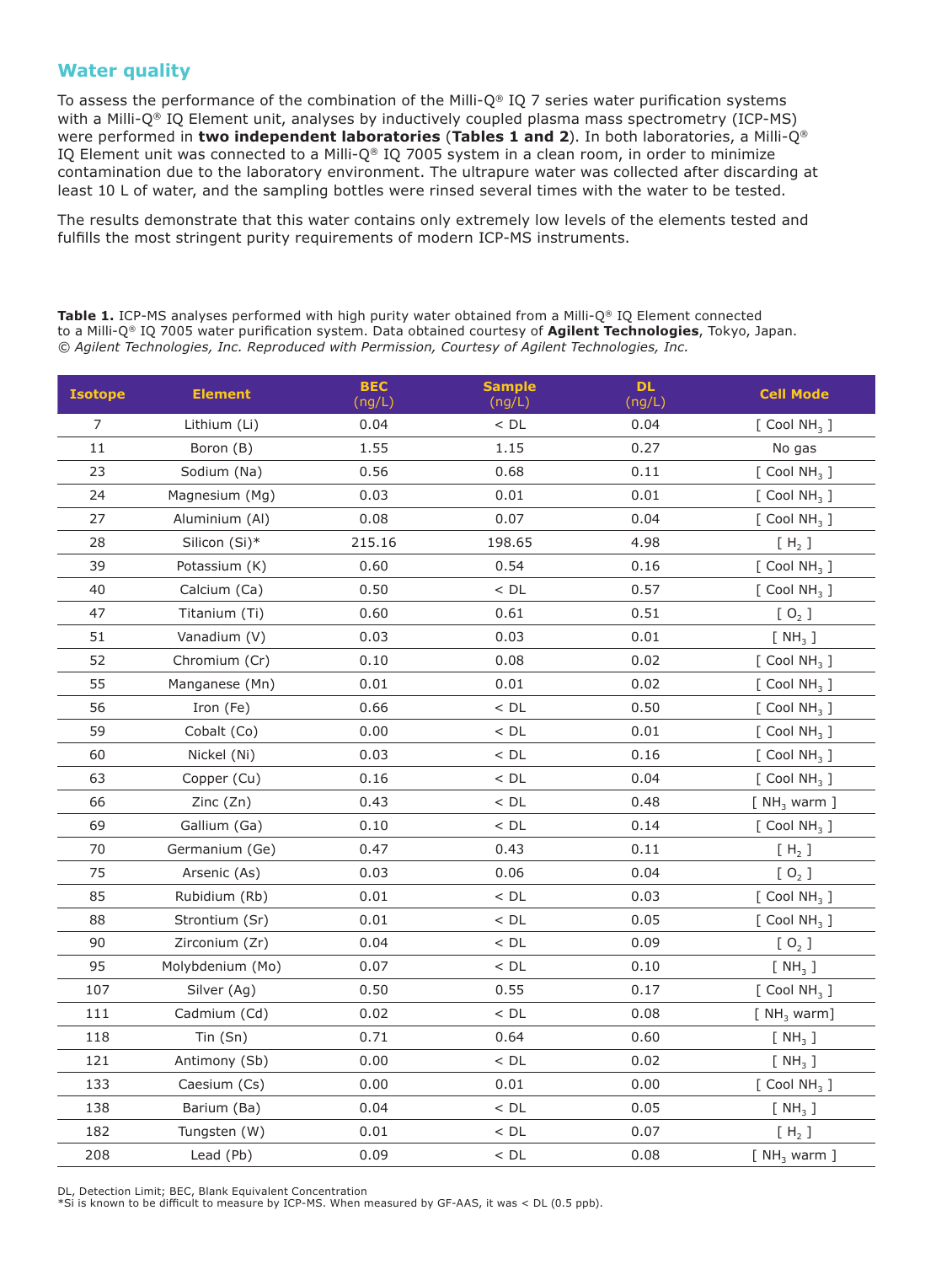### **Water quality**

To assess the performance of the combination of the Milli- $Q^{\circ}$  IQ 7 series water purification systems with a Milli-Q® IQ Element unit, analyses by inductively coupled plasma mass spectrometry (ICP-MS) were performed in **two independent laboratories** (**Tables 1 and 2**). In both laboratories, a Milli-Q® IQ Element unit was connected to a Milli-Q® IQ 7005 system in a clean room, in order to minimize contamination due to the laboratory environment. The ultrapure water was collected after discarding at least 10 L of water, and the sampling bottles were rinsed several times with the water to be tested.

The results demonstrate that this water contains only extremely low levels of the elements tested and fulfills the most stringent purity requirements of modern ICP-MS instruments.

**Table 1.** ICP-MS analyses performed with high purity water obtained from a Milli-Q® IQ Element connected to a Milli-Q® IQ 7005 water purification system. Data obtained courtesy of **Agilent Technologies**, Tokyo, Japan. *© Agilent Technologies, Inc. Reproduced with Permission, Courtesy of Agilent Technologies, Inc.*

| <b>Isotope</b> | <b>Element</b>   | <b>BEC</b><br>(ng/L) | <b>Sample</b><br>(ng/L) | <b>DL</b><br>(ng/L) | <b>Cell Mode</b>             |
|----------------|------------------|----------------------|-------------------------|---------------------|------------------------------|
| $\overline{7}$ | Lithium (Li)     | 0.04                 | $<$ DL                  | 0.04                | $[$ Cool NH <sub>3</sub> $]$ |
| 11             | Boron (B)        | 1.55                 | 1.15                    | 0.27                | No gas                       |
| 23             | Sodium (Na)      | 0.56                 | 0.68                    | 0.11                | $[$ Cool NH <sub>3</sub> $]$ |
| 24             | Magnesium (Mg)   | 0.03                 | 0.01                    | 0.01                | $[$ Cool NH <sub>3</sub> $]$ |
| 27             | Aluminium (Al)   | 0.08                 | 0.07                    | 0.04                | $[$ Cool NH <sub>3</sub> $]$ |
| 28             | Silicon (Si)*    | 215.16               | 198.65                  | 4.98                | $[H_2]$                      |
| 39             | Potassium (K)    | 0.60                 | 0.54                    | 0.16                | $[$ Cool NH <sub>3</sub> $]$ |
| 40             | Calcium (Ca)     | 0.50                 | $<$ DL                  | 0.57                | $[$ Cool NH <sub>3</sub> $]$ |
| 47             | Titanium (Ti)    | 0.60                 | 0.61                    | 0.51                | [O <sub>2</sub> ]            |
| 51             | Vanadium (V)     | 0.03                 | 0.03                    | 0.01                | [NH <sub>3</sub> ]           |
| 52             | Chromium (Cr)    | 0.10                 | 0.08                    | 0.02                | [Cool NH <sub>3</sub> ]      |
| 55             | Manganese (Mn)   | 0.01                 | 0.01                    | 0.02                | $[$ Cool NH <sub>3</sub> $]$ |
| 56             | Iron (Fe)        | 0.66                 | $<$ DL                  | 0.50                | $[$ Cool NH <sub>3</sub> $]$ |
| 59             | Cobalt (Co)      | 0.00                 | $<$ DL                  | 0.01                | $[$ Cool NH <sub>3</sub> $]$ |
| 60             | Nickel (Ni)      | 0.03                 | $<$ DL                  | 0.16                | $[$ Cool NH <sub>3</sub> $]$ |
| 63             | Copper (Cu)      | 0.16                 | $<$ DL                  | 0.04                | $[$ Cool NH <sub>3</sub> $]$ |
| 66             | Zinc (Zn)        | 0.43                 | $<$ DL                  | 0.48                | [NH <sub>3</sub> warm]       |
| 69             | Gallium (Ga)     | 0.10                 | $<$ DL                  | 0.14                | $[$ Cool NH <sub>3</sub> $]$ |
| 70             | Germanium (Ge)   | 0.47                 | 0.43                    | 0.11                | [H <sub>2</sub> ]            |
| 75             | Arsenic (As)     | 0.03                 | 0.06                    | 0.04                | [O <sub>2</sub> ]            |
| 85             | Rubidium (Rb)    | 0.01                 | $<$ DL                  | 0.03                | [Cool NH <sub>3</sub> ]      |
| 88             | Strontium (Sr)   | 0.01                 | $<$ DL                  | 0.05                | $[$ Cool NH <sub>3</sub> $]$ |
| 90             | Zirconium (Zr)   | 0.04                 | $<$ DL                  | 0.09                | [O <sub>2</sub> ]            |
| 95             | Molybdenium (Mo) | 0.07                 | $<$ DL                  | 0.10                | [NH <sub>3</sub> ]           |
| 107            | Silver (Ag)      | 0.50                 | 0.55                    | 0.17                | $[$ Cool NH <sub>3</sub> $]$ |
| 111            | Cadmium (Cd)     | 0.02                 | $<$ DL                  | 0.08                | [NH <sub>3</sub> warm]       |
| 118            | Tin(Sn)          | 0.71                 | 0.64                    | 0.60                | [NH <sub>3</sub> ]           |
| 121            | Antimony (Sb)    | 0.00                 | $<$ DL                  | 0.02                | $[NH_3]$                     |
| 133            | Caesium (Cs)     | 0.00                 | 0.01                    | 0.00                | $[$ Cool NH <sub>3</sub> $]$ |
| 138            | Barium (Ba)      | 0.04                 | $<$ DL                  | 0.05                | [NH <sub>3</sub> ]           |
| 182            | Tungsten (W)     | 0.01                 | $<$ DL                  | 0.07                | $[H_2]$                      |
| 208            | Lead (Pb)        | 0.09                 | $<$ DL                  | 0.08                | [NH <sub>3</sub> warm]       |

DL, Detection Limit; BEC, Blank Equivalent Concentration

\*Si is known to be difficult to measure by ICP-MS. When measured by GF-AAS, it was < DL (0.5 ppb).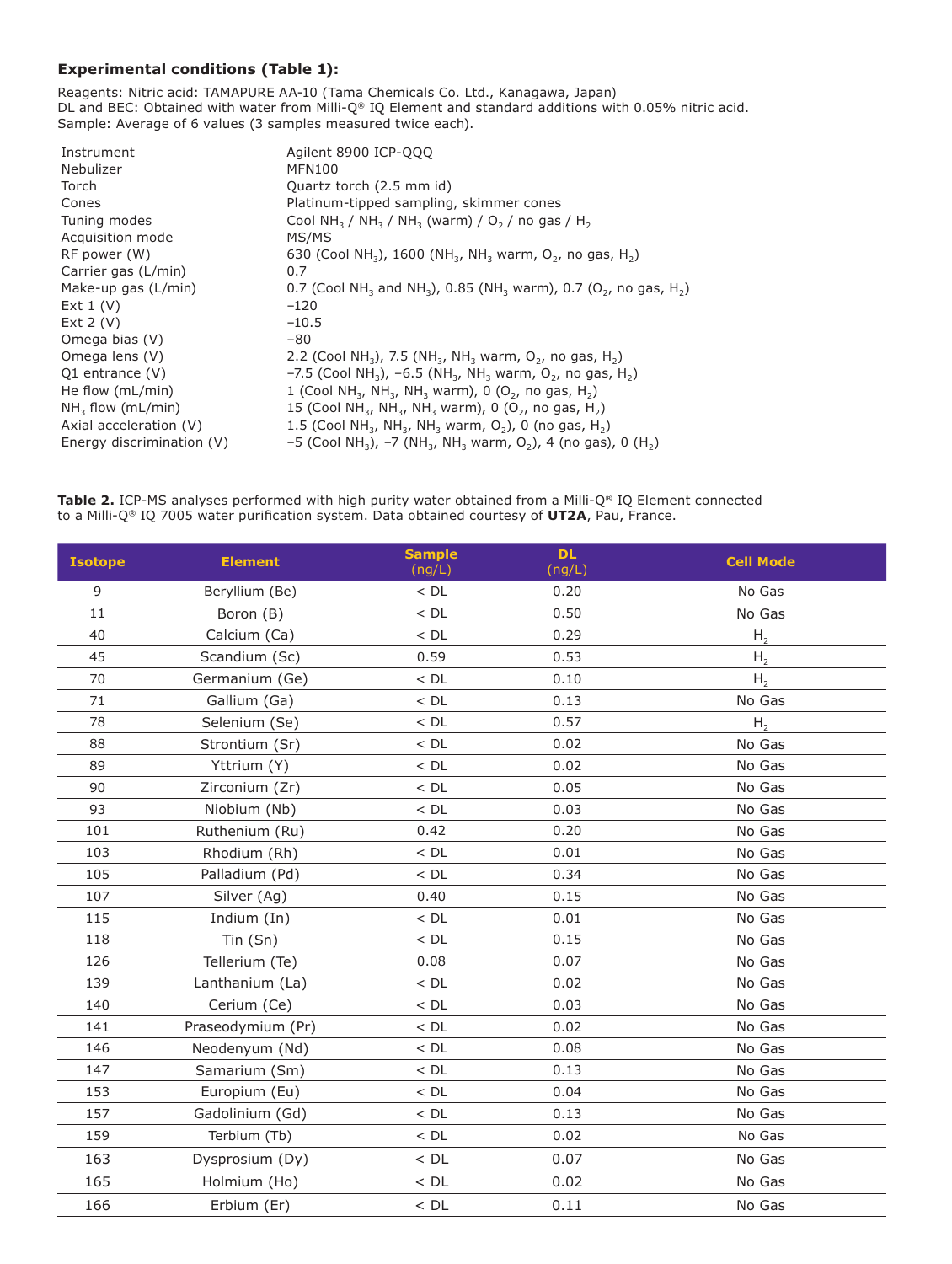#### **Experimental conditions (Table 1):**

Reagents: Nitric acid: TAMAPURE AA-10 (Tama Chemicals Co. Ltd., Kanagawa, Japan) DL and BEC: Obtained with water from Milli-Q® IQ Element and standard additions with 0.05% nitric acid. Sample: Average of 6 values (3 samples measured twice each).

| Instrument                | Agilent 8900 ICP-QQQ                                                                                                         |
|---------------------------|------------------------------------------------------------------------------------------------------------------------------|
| Nebulizer                 | <b>MFN100</b>                                                                                                                |
| Torch                     | Quartz torch (2.5 mm id)                                                                                                     |
| Cones                     | Platinum-tipped sampling, skimmer cones                                                                                      |
| Tuning modes              | Cool NH <sub>3</sub> / NH <sub>3</sub> / NH <sub>3</sub> (warm) / $O2$ / no gas / H <sub>2</sub>                             |
| Acquisition mode          | MS/MS                                                                                                                        |
| RF power (W)              | 630 (Cool NH <sub>3</sub> ), 1600 (NH <sub>3</sub> , NH <sub>3</sub> warm, O <sub>2</sub> , no gas, H <sub>2</sub> )         |
| Carrier gas (L/min)       | 0.7                                                                                                                          |
| Make-up gas (L/min)       | 0.7 (Cool NH <sub>3</sub> and NH <sub>3</sub> ), 0.85 (NH <sub>3</sub> warm), 0.7 (O <sub>2</sub> , no gas, H <sub>2</sub> ) |
| Ext $1(V)$                | $-120$                                                                                                                       |
| Ext $2(V)$                | $-10.5$                                                                                                                      |
| Omega bias (V)            | -80                                                                                                                          |
| Omega lens (V)            | 2.2 (Cool NH <sub>3</sub> ), 7.5 (NH <sub>3</sub> , NH <sub>3</sub> warm, O <sub>2</sub> , no gas, H <sub>2</sub> )          |
| Q1 entrance $(V)$         | $-7.5$ (Cool NH <sub>3</sub> ), $-6.5$ (NH <sub>3</sub> , NH <sub>3</sub> warm, O <sub>2</sub> , no gas, H <sub>2</sub> )    |
| He flow (mL/min)          | 1 (Cool NH <sub>3</sub> , NH <sub>3</sub> , NH <sub>3</sub> warm), 0 (O <sub>2</sub> , no gas, H <sub>2</sub> )              |
| $NH3$ flow (mL/min)       | 15 (Cool NH <sub>3</sub> , NH <sub>3</sub> , NH <sub>3</sub> warm), 0 (O <sub>2</sub> , no gas, H <sub>2</sub> )             |
| Axial acceleration (V)    | 1.5 (Cool NH <sub>3</sub> , NH <sub>3</sub> , NH <sub>3</sub> warm, O <sub>2</sub> ), 0 (no gas, H <sub>2</sub> )            |
| Energy discrimination (V) | -5 (Cool NH <sub>3</sub> ), -7 (NH <sub>3</sub> , NH <sub>3</sub> warm, O <sub>2</sub> ), 4 (no gas), 0 (H <sub>2</sub> )    |

**Table 2.** ICP-MS analyses performed with high purity water obtained from a Milli-Q® IQ Element connected to a Milli-Q® IQ 7005 water purification system. Data obtained courtesy of **UT2A**, Pau, France.

| <b>Isotope</b> | <b>Element</b>    | <b>Sample</b><br>(ng/L) | <b>DL</b><br>(ng/L) | <b>Cell Mode</b> |
|----------------|-------------------|-------------------------|---------------------|------------------|
| 9              | Beryllium (Be)    | $<$ DL                  | 0.20                | No Gas           |
| 11             | Boron (B)         | $<$ DL                  | 0.50                | No Gas           |
| 40             | Calcium (Ca)      | $<$ DL                  | 0.29                | H <sub>2</sub>   |
| 45             | Scandium (Sc)     | 0.59                    | 0.53                | H <sub>2</sub>   |
| 70             | Germanium (Ge)    | $<$ DL                  | 0.10                | H <sub>2</sub>   |
| 71             | Gallium (Ga)      | $<$ DL                  | 0.13                | No Gas           |
| 78             | Selenium (Se)     | $<$ DL                  | 0.57                | H <sub>2</sub>   |
| 88             | Strontium (Sr)    | $<$ DL                  | 0.02                | No Gas           |
| 89             | Yttrium (Y)       | $<$ DL                  | 0.02                | No Gas           |
| 90             | Zirconium (Zr)    | $<$ DL                  | 0.05                | No Gas           |
| 93             | Niobium (Nb)      | $<$ DL                  | 0.03                | No Gas           |
| 101            | Ruthenium (Ru)    | 0.42                    | 0.20                | No Gas           |
| 103            | Rhodium (Rh)      | $<$ DL                  | 0.01                | No Gas           |
| 105            | Palladium (Pd)    | $<$ DL                  | 0.34                | No Gas           |
| 107            | Silver (Ag)       | 0.40                    | 0.15                | No Gas           |
| 115            | Indium (In)       | $<$ DL                  | 0.01                | No Gas           |
| 118            | Tin (Sn)          | $<$ DL                  | 0.15                | No Gas           |
| 126            | Tellerium (Te)    | 0.08                    | 0.07                | No Gas           |
| 139            | Lanthanium (La)   | $<$ DL                  | 0.02                | No Gas           |
| 140            | Cerium (Ce)       | $<$ DL                  | 0.03                | No Gas           |
| 141            | Praseodymium (Pr) | $<$ DL                  | 0.02                | No Gas           |
| 146            | Neodenyum (Nd)    | $<$ DL                  | 0.08                | No Gas           |
| 147            | Samarium (Sm)     | $<$ DL                  | 0.13                | No Gas           |
| 153            | Europium (Eu)     | $<$ DL                  | 0.04                | No Gas           |
| 157            | Gadolinium (Gd)   | $<$ DL                  | 0.13                | No Gas           |
| 159            | Terbium (Tb)      | $<$ DL                  | 0.02                | No Gas           |
| 163            | Dysprosium (Dy)   | $<$ DL                  | 0.07                | No Gas           |
| 165            | Holmium (Ho)      | $<$ DL                  | 0.02                | No Gas           |
| 166            | Erbium (Er)       | $<$ DL                  | 0.11                | No Gas           |
|                |                   |                         |                     |                  |